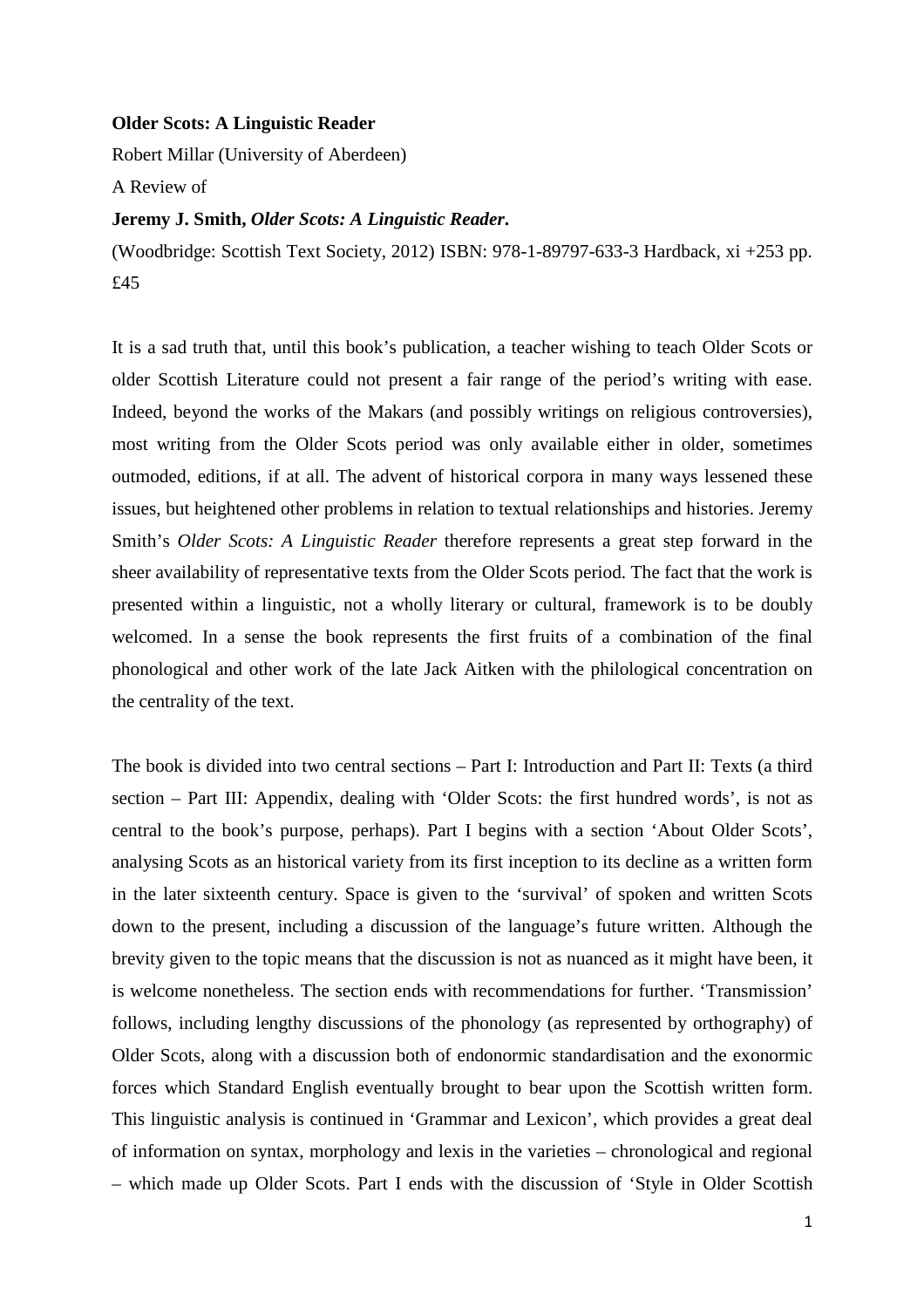## **Older Scots: A Linguistic Reader**

Robert Millar (University of Aberdeen)

A Review of

## **Jeremy J. Smith,** *Older Scots: A Linguistic Reader***.**

(Woodbridge: Scottish Text Society, 2012) ISBN: 978-1-89797-633-3 Hardback, xi +253 pp. £45

It is a sad truth that, until this book's publication, a teacher wishing to teach Older Scots or older Scottish Literature could not present a fair range of the period's writing with ease. Indeed, beyond the works of the Makars (and possibly writings on religious controversies), most writing from the Older Scots period was only available either in older, sometimes outmoded, editions, if at all. The advent of historical corpora in many ways lessened these issues, but heightened other problems in relation to textual relationships and histories. Jeremy Smith's *Older Scots: A Linguistic Reader* therefore represents a great step forward in the sheer availability of representative texts from the Older Scots period. The fact that the work is presented within a linguistic, not a wholly literary or cultural, framework is to be doubly welcomed. In a sense the book represents the first fruits of a combination of the final phonological and other work of the late Jack Aitken with the philological concentration on the centrality of the text.

The book is divided into two central sections – Part I: Introduction and Part II: Texts (a third section – Part III: Appendix, dealing with 'Older Scots: the first hundred words', is not as central to the book's purpose, perhaps). Part I begins with a section 'About Older Scots', analysing Scots as an historical variety from its first inception to its decline as a written form in the later sixteenth century. Space is given to the 'survival' of spoken and written Scots down to the present, including a discussion of the language's future written. Although the brevity given to the topic means that the discussion is not as nuanced as it might have been, it is welcome nonetheless. The section ends with recommendations for further. 'Transmission' follows, including lengthy discussions of the phonology (as represented by orthography) of Older Scots, along with a discussion both of endonormic standardisation and the exonormic forces which Standard English eventually brought to bear upon the Scottish written form. This linguistic analysis is continued in 'Grammar and Lexicon', which provides a great deal of information on syntax, morphology and lexis in the varieties – chronological and regional – which made up Older Scots. Part I ends with the discussion of 'Style in Older Scottish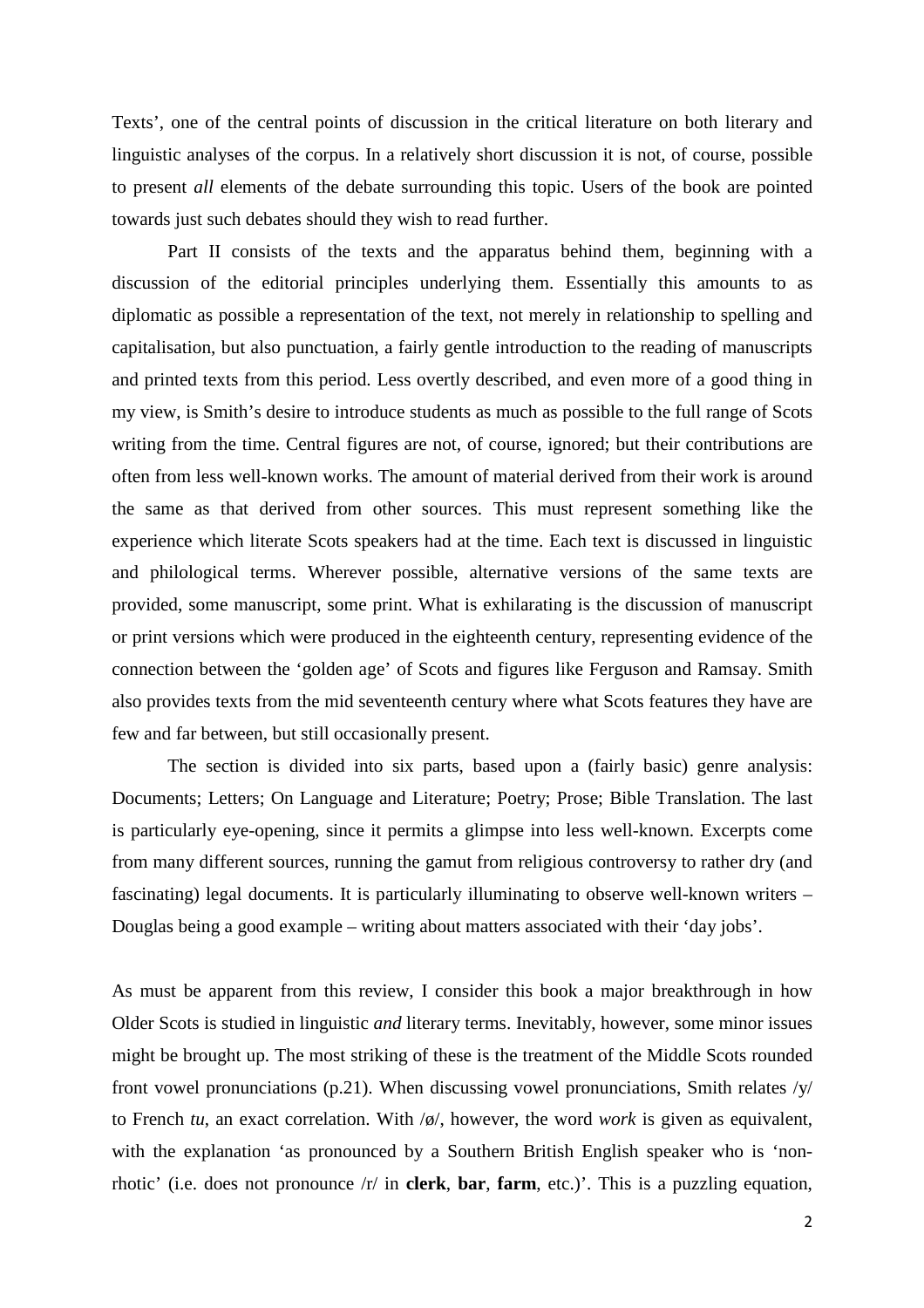Texts', one of the central points of discussion in the critical literature on both literary and linguistic analyses of the corpus. In a relatively short discussion it is not, of course, possible to present *all* elements of the debate surrounding this topic. Users of the book are pointed towards just such debates should they wish to read further.

 Part II consists of the texts and the apparatus behind them, beginning with a discussion of the editorial principles underlying them. Essentially this amounts to as diplomatic as possible a representation of the text, not merely in relationship to spelling and capitalisation, but also punctuation, a fairly gentle introduction to the reading of manuscripts and printed texts from this period. Less overtly described, and even more of a good thing in my view, is Smith's desire to introduce students as much as possible to the full range of Scots writing from the time. Central figures are not, of course, ignored; but their contributions are often from less well-known works. The amount of material derived from their work is around the same as that derived from other sources. This must represent something like the experience which literate Scots speakers had at the time. Each text is discussed in linguistic and philological terms. Wherever possible, alternative versions of the same texts are provided, some manuscript, some print. What is exhilarating is the discussion of manuscript or print versions which were produced in the eighteenth century, representing evidence of the connection between the 'golden age' of Scots and figures like Ferguson and Ramsay. Smith also provides texts from the mid seventeenth century where what Scots features they have are few and far between, but still occasionally present.

 The section is divided into six parts, based upon a (fairly basic) genre analysis: Documents; Letters; On Language and Literature; Poetry; Prose; Bible Translation. The last is particularly eye-opening, since it permits a glimpse into less well-known. Excerpts come from many different sources, running the gamut from religious controversy to rather dry (and fascinating) legal documents. It is particularly illuminating to observe well-known writers – Douglas being a good example – writing about matters associated with their 'day jobs'.

As must be apparent from this review, I consider this book a major breakthrough in how Older Scots is studied in linguistic *and* literary terms. Inevitably, however, some minor issues might be brought up. The most striking of these is the treatment of the Middle Scots rounded front vowel pronunciations (p.21). When discussing vowel pronunciations, Smith relates /y/ to French *tu*, an exact correlation. With /ø/, however, the word *work* is given as equivalent, with the explanation 'as pronounced by a Southern British English speaker who is 'nonrhotic' (i.e. does not pronounce /r/ in **clerk**, **bar**, **farm**, etc.)'. This is a puzzling equation,